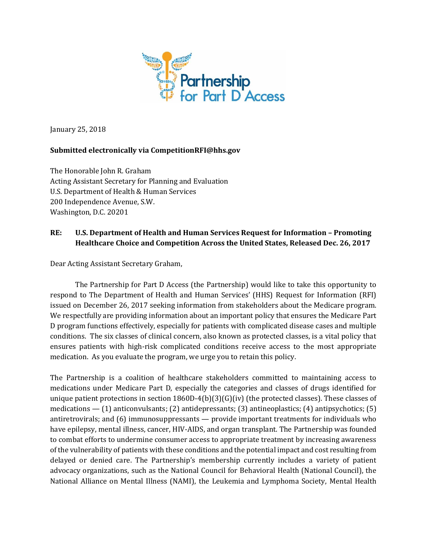

January 25, 2018

## **Submitted electronically via CompetitionRFI@hhs.gov**

The Honorable John R. Graham Acting Assistant Secretary for Planning and Evaluation U.S. Department of Health & Human Services 200 Independence Avenue, S.W. Washington, D.C. 20201

# **RE: U.S. Department of Health and Human Services Request for Information – Promoting Healthcare Choice and Competition Across the United States, Released Dec. 26, 2017**

Dear Acting Assistant Secretary Graham,

The Partnership for Part D Access (the Partnership) would like to take this opportunity to respond to The Department of Health and Human Services' (HHS) Request for Information (RFI) issued on December 26, 2017 seeking information from stakeholders about the Medicare program. We respectfully are providing information about an important policy that ensures the Medicare Part D program functions effectively, especially for patients with complicated disease cases and multiple conditions. The six classes of clinical concern, also known as protected classes, is a vital policy that ensures patients with high-risk complicated conditions receive access to the most appropriate medication. As you evaluate the program, we urge you to retain this policy.

The Partnership is a coalition of healthcare stakeholders committed to maintaining access to medications under Medicare Part D, especially the categories and classes of drugs identified for unique patient protections in section 1860D-4(b)(3)(G)(iv) (the protected classes). These classes of medications — (1) anticonvulsants; (2) antidepressants; (3) antineoplastics; (4) antipsychotics; (5) antiretrovirals; and (6) immunosuppressants — provide important treatments for individuals who have epilepsy, mental illness, cancer, HIV-AIDS, and organ transplant. The Partnership was founded to combat efforts to undermine consumer access to appropriate treatment by increasing awareness of the vulnerability of patients with these conditions and the potential impact and cost resulting from delayed or denied care. The Partnership's membership currently includes a variety of patient advocacy organizations, such as the National Council for Behavioral Health (National Council), the National Alliance on Mental Illness (NAMI), the Leukemia and Lymphoma Society, Mental Health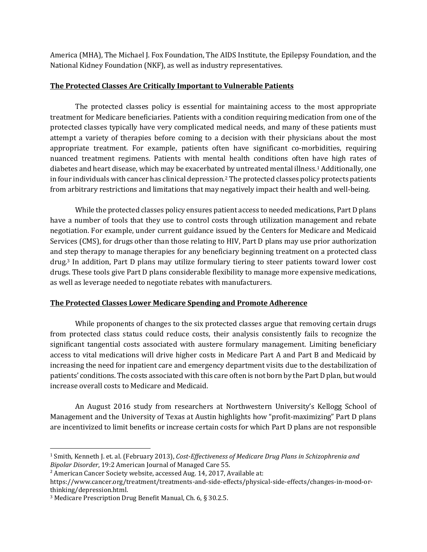America (MHA), The Michael J. Fox Foundation, The AIDS Institute, the Epilepsy Foundation, and the National Kidney Foundation (NKF), as well as industry representatives.

### **The Protected Classes Are Critically Important to Vulnerable Patients**

The protected classes policy is essential for maintaining access to the most appropriate treatment for Medicare beneficiaries. Patients with a condition requiring medication from one of the protected classes typically have very complicated medical needs, and many of these patients must attempt a variety of therapies before coming to a decision with their physicians about the most appropriate treatment. For example, patients often have significant co-morbidities, requiring nuanced treatment regimens. Patients with mental health conditions often have high rates of diabetes and heart disease, which may be exacerbated by untreated mental illness.<sup>1</sup> Additionally, one in four individuals with cancer has clinical depression.<sup>2</sup> The protected classes policy protects patients from arbitrary restrictions and limitations that may negatively impact their health and well-being.

While the protected classes policy ensures patient access to needed medications, Part D plans have a number of tools that they use to control costs through utilization management and rebate negotiation. For example, under current guidance issued by the Centers for Medicare and Medicaid Services (CMS), for drugs other than those relating to HIV, Part D plans may use prior authorization and step therapy to manage therapies for any beneficiary beginning treatment on a protected class drug.<sup>3</sup> In addition, Part D plans may utilize formulary tiering to steer patients toward lower cost drugs. These tools give Part D plans considerable flexibility to manage more expensive medications, as well as leverage needed to negotiate rebates with manufacturers.

## **The Protected Classes Lower Medicare Spending and Promote Adherence**

While proponents of changes to the six protected classes argue that removing certain drugs from protected class status could reduce costs, their analysis consistently fails to recognize the significant tangential costs associated with austere formulary management. Limiting beneficiary access to vital medications will drive higher costs in Medicare Part A and Part B and Medicaid by increasing the need for inpatient care and emergency department visits due to the destabilization of patients' conditions. The costs associated with this care often is not born by the Part D plan, but would increase overall costs to Medicare and Medicaid.

An August 2016 study from researchers at Northwestern University's Kellogg School of Management and the University of Texas at Austin highlights how "profit-maximizing" Part D plans are incentivized to limit benefits or increase certain costs for which Part D plans are not responsible

 $\overline{\phantom{a}}$ 

<sup>1</sup> Smith, Kenneth J. et. al. (February 2013), *Cost-Effectiveness of Medicare Drug Plans in Schizophrenia and Bipolar Disorder*, 19:2 American Journal of Managed Care 55.

<sup>&</sup>lt;sup>2</sup> American Cancer Society website, accessed Aug. 14, 2017, Available at:

https://www.cancer.org/treatment/treatments-and-side-effects/physical-side-effects/changes-in-mood-orthinking/depression.html.

<sup>3</sup> Medicare Prescription Drug Benefit Manual, Ch. 6, § 30.2.5.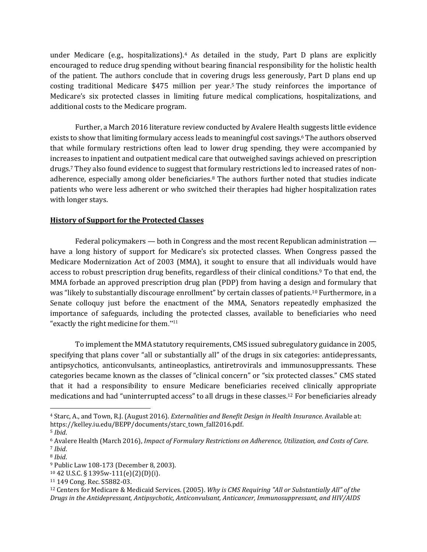under Medicare (e.g., hospitalizations).<sup>4</sup> As detailed in the study, Part D plans are explicitly encouraged to reduce drug spending without bearing financial responsibility for the holistic health of the patient. The authors conclude that in covering drugs less generously, Part D plans end up costing traditional Medicare \$475 million per year. <sup>5</sup> The study reinforces the importance of Medicare's six protected classes in limiting future medical complications, hospitalizations, and additional costs to the Medicare program.

Further, a March 2016 literature review conducted by Avalere Health suggests little evidence exists to show that limiting formulary access leads to meaningful cost savings. <sup>6</sup> The authors observed that while formulary restrictions often lead to lower drug spending, they were accompanied by increases to inpatient and outpatient medical care that outweighed savings achieved on prescription drugs.<sup>7</sup> They also found evidence to suggest that formulary restrictions led to increased rates of nonadherence, especially among older beneficiaries.<sup>8</sup> The authors further noted that studies indicate patients who were less adherent or who switched their therapies had higher hospitalization rates with longer stays.

### **History of Support for the Protected Classes**

Federal policymakers — both in Congress and the most recent Republican administration have a long history of support for Medicare's six protected classes. When Congress passed the Medicare Modernization Act of 2003 (MMA), it sought to ensure that all individuals would have access to robust prescription drug benefits, regardless of their clinical conditions.<sup>9</sup> To that end, the MMA forbade an approved prescription drug plan (PDP) from having a design and formulary that was "likely to substantially discourage enrollment" by certain classes of patients.<sup>10</sup> Furthermore, in a Senate colloquy just before the enactment of the MMA, Senators repeatedly emphasized the importance of safeguards, including the protected classes, available to beneficiaries who need "exactly the right medicine for them."<sup>11</sup>

To implement the MMA statutory requirements, CMS issued subregulatory guidance in 2005, specifying that plans cover "all or substantially all" of the drugs in six categories: antidepressants, antipsychotics, anticonvulsants, antineoplastics, antiretrovirals and immunosuppressants. These categories became known as the classes of "clinical concern" or "six protected classes." CMS stated that it had a responsibility to ensure Medicare beneficiaries received clinically appropriate medications and had "uninterrupted access" to all drugs in these classes.<sup>12</sup> For beneficiaries already

 $\overline{\phantom{a}}$ 

<sup>4</sup> Starc, A., and Town, R.J. (August 2016). *Externalities and Benefit Design in Health Insurance*. Available at: https://kelley.iu.edu/BEPP/documents/starc\_town\_fall2016.pdf.

<sup>5</sup> *Ibid*.

<sup>6</sup> Avalere Health (March 2016), *Impact of Formulary Restrictions on Adherence, Utilization, and Costs of Care*. <sup>7</sup> *Ibid*.

<sup>8</sup> *Ibid*.

<sup>9</sup> Public Law 108-173 (December 8, 2003).

<sup>10</sup> 42 U.S.C. § 1395w-111(e)(2)(D)(i).

<sup>11</sup> 149 Cong. Rec. S5882-03.

<sup>12</sup> Centers for Medicare & Medicaid Services. (2005). *Why is CMS Requiring "All or Substantially All" of the Drugs in the Antidepressant, Antipsychotic, Anticonvulsant, Anticancer, Immunosuppressant, and HIV/AIDS*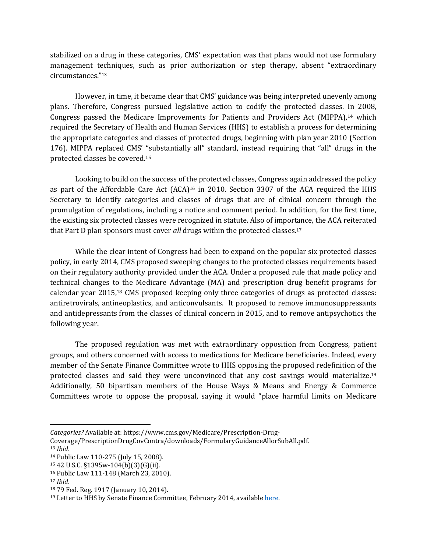stabilized on a drug in these categories, CMS' expectation was that plans would not use formulary management techniques, such as prior authorization or step therapy, absent "extraordinary circumstances."<sup>13</sup>

However, in time, it became clear that CMS' guidance was being interpreted unevenly among plans. Therefore, Congress pursued legislative action to codify the protected classes. In 2008, Congress passed the Medicare Improvements for Patients and Providers Act (MIPPA),<sup>14</sup> which required the Secretary of Health and Human Services (HHS) to establish a process for determining the appropriate categories and classes of protected drugs, beginning with plan year 2010 (Section 176). MIPPA replaced CMS' "substantially all" standard, instead requiring that "all" drugs in the protected classes be covered.<sup>15</sup>

Looking to build on the success of the protected classes, Congress again addressed the policy as part of the Affordable Care Act (ACA)<sup>16</sup> in 2010. Section 3307 of the ACA required the HHS Secretary to identify categories and classes of drugs that are of clinical concern through the promulgation of regulations, including a notice and comment period. In addition, for the first time, the existing six protected classes were recognized in statute. Also of importance, the ACA reiterated that Part D plan sponsors must cover *all* drugs within the protected classes.<sup>17</sup>

While the clear intent of Congress had been to expand on the popular six protected classes policy, in early 2014, CMS proposed sweeping changes to the protected classes requirements based on their regulatory authority provided under the ACA. Under a proposed rule that made policy and technical changes to the Medicare Advantage (MA) and prescription drug benefit programs for calendar year 2015,<sup>18</sup> CMS proposed keeping only three categories of drugs as protected classes: antiretrovirals, antineoplastics, and anticonvulsants. It proposed to remove immunosuppressants and antidepressants from the classes of clinical concern in 2015, and to remove antipsychotics the following year.

The proposed regulation was met with extraordinary opposition from Congress, patient groups, and others concerned with access to medications for Medicare beneficiaries. Indeed, every member of the Senate Finance Committee wrote to HHS opposing the proposed redefinition of the protected classes and said they were unconvinced that any cost savings would materialize.<sup>19</sup> Additionally, 50 bipartisan members of the House Ways & Means and Energy & Commerce Committees wrote to oppose the proposal, saying it would "place harmful limits on Medicare

l

*Categories?* Available at: https://www.cms.gov/Medicare/Prescription-Drug-

Coverage/PrescriptionDrugCovContra/downloads/FormularyGuidanceAllorSubAll.pdf. <sup>13</sup> *Ibid*.

<sup>14</sup> Public Law 110-275 (July 15, 2008).

<sup>15</sup> 42 U.S.C. §1395w-104(b)(3)(G)(ii).

<sup>16</sup> Public Law 111-148 (March 23, 2010).

<sup>17</sup> *Ibid*.

<sup>18</sup> 79 Fed. Reg. 1917 (January 10, 2014).

<sup>&</sup>lt;sup>19</sup> Letter to HHS by Senate Finance Committee, February 2014, available here.